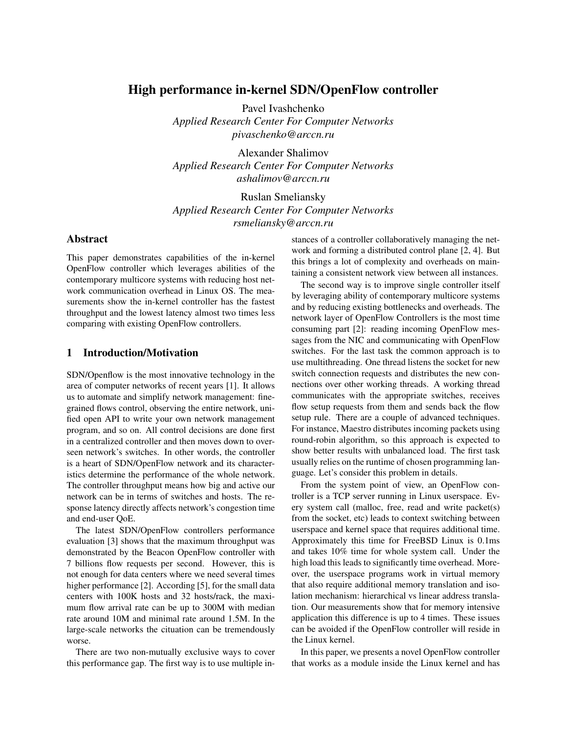# High performance in-kernel SDN/OpenFlow controller

Pavel Ivashchenko *Applied Research Center For Computer Networks pivaschenko@arccn.ru*

Alexander Shalimov *Applied Research Center For Computer Networks ashalimov@arccn.ru*

Ruslan Smeliansky *Applied Research Center For Computer Networks rsmeliansky@arccn.ru*

### Abstract

This paper demonstrates capabilities of the in-kernel OpenFlow controller which leverages abilities of the contemporary multicore systems with reducing host network communication overhead in Linux OS. The measurements show the in-kernel controller has the fastest throughput and the lowest latency almost two times less comparing with existing OpenFlow controllers.

## 1 Introduction/Motivation

SDN/Openflow is the most innovative technology in the area of computer networks of recent years [1]. It allows us to automate and simplify network management: finegrained flows control, observing the entire network, unified open API to write your own network management program, and so on. All control decisions are done first in a centralized controller and then moves down to overseen network's switches. In other words, the controller is a heart of SDN/OpenFlow network and its characteristics determine the performance of the whole network. The controller throughput means how big and active our network can be in terms of switches and hosts. The response latency directly affects network's congestion time and end-user QoE.

The latest SDN/OpenFlow controllers performance evaluation [3] shows that the maximum throughput was demonstrated by the Beacon OpenFlow controller with 7 billions flow requests per second. However, this is not enough for data centers where we need several times higher performance [2]. According [5], for the small data centers with 100K hosts and 32 hosts/rack, the maximum flow arrival rate can be up to 300M with median rate around 10M and minimal rate around 1.5M. In the large-scale networks the cituation can be tremendously worse.

There are two non-mutually exclusive ways to cover this performance gap. The first way is to use multiple instances of a controller collaboratively managing the network and forming a distributed control plane [2, 4]. But this brings a lot of complexity and overheads on maintaining a consistent network view between all instances.

The second way is to improve single controller itself by leveraging ability of contemporary multicore systems and by reducing existing bottlenecks and overheads. The network layer of OpenFlow Controllers is the most time consuming part [2]: reading incoming OpenFlow messages from the NIC and communicating with OpenFlow switches. For the last task the common approach is to use multithreading. One thread listens the socket for new switch connection requests and distributes the new connections over other working threads. A working thread communicates with the appropriate switches, receives flow setup requests from them and sends back the flow setup rule. There are a couple of advanced techniques. For instance, Maestro distributes incoming packets using round-robin algorithm, so this approach is expected to show better results with unbalanced load. The first task usually relies on the runtime of chosen programming language. Let's consider this problem in details.

From the system point of view, an OpenFlow controller is a TCP server running in Linux userspace. Every system call (malloc, free, read and write packet(s) from the socket, etc) leads to context switching between userspace and kernel space that requires additional time. Approximately this time for FreeBSD Linux is 0.1ms and takes 10% time for whole system call. Under the high load this leads to significantly time overhead. Moreover, the userspace programs work in virtual memory that also require additional memory translation and isolation mechanism: hierarchical vs linear address translation. Our measurements show that for memory intensive application this difference is up to 4 times. These issues can be avoided if the OpenFlow controller will reside in the Linux kernel.

In this paper, we presents a novel OpenFlow controller that works as a module inside the Linux kernel and has